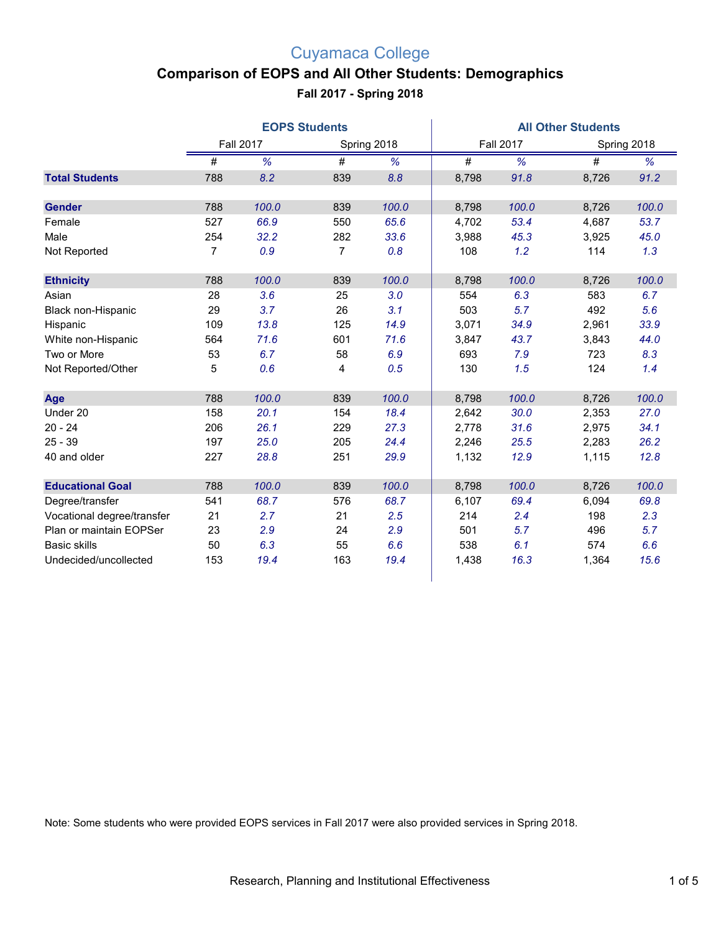### **Comparison of EOPS and All Other Students: Demographics**

**Fall 2017 - Spring 2018**

|                            | <b>EOPS Students</b> |       |                |             | <b>All Other Students</b> |                  |       |             |  |
|----------------------------|----------------------|-------|----------------|-------------|---------------------------|------------------|-------|-------------|--|
|                            | <b>Fall 2017</b>     |       |                | Spring 2018 |                           | <b>Fall 2017</b> |       | Spring 2018 |  |
|                            | #                    | %     | #              | %           | #                         | %                | #     | %           |  |
| <b>Total Students</b>      | 788                  | 8.2   | 839            | 8.8         | 8,798                     | 91.8             | 8,726 | 91.2        |  |
| <b>Gender</b>              | 788                  | 100.0 | 839            | 100.0       | 8,798                     | 100.0            | 8,726 | 100.0       |  |
| Female                     | 527                  | 66.9  | 550            | 65.6        | 4,702                     | 53.4             | 4,687 | 53.7        |  |
| Male                       | 254                  | 32.2  | 282            | 33.6        | 3,988                     | 45.3             | 3,925 | 45.0        |  |
| Not Reported               | $\overline{7}$       | 0.9   | $\overline{7}$ | 0.8         | 108                       | 1.2              | 114   | 1.3         |  |
| <b>Ethnicity</b>           | 788                  | 100.0 | 839            | 100.0       | 8,798                     | 100.0            | 8,726 | 100.0       |  |
| Asian                      | 28                   | 3.6   | 25             | 3.0         | 554                       | 6.3              | 583   | 6.7         |  |
| Black non-Hispanic         | 29                   | 3.7   | 26             | 3.1         | 503                       | 5.7              | 492   | 5.6         |  |
| Hispanic                   | 109                  | 13.8  | 125            | 14.9        | 3,071                     | 34.9             | 2,961 | 33.9        |  |
| White non-Hispanic         | 564                  | 71.6  | 601            | 71.6        | 3,847                     | 43.7             | 3,843 | 44.0        |  |
| Two or More                | 53                   | 6.7   | 58             | 6.9         | 693                       | 7.9              | 723   | 8.3         |  |
| Not Reported/Other         | 5                    | 0.6   | 4              | 0.5         | 130                       | 1.5              | 124   | 1.4         |  |
| Age                        | 788                  | 100.0 | 839            | 100.0       | 8,798                     | 100.0            | 8,726 | 100.0       |  |
| Under 20                   | 158                  | 20.1  | 154            | 18.4        | 2,642                     | 30.0             | 2,353 | 27.0        |  |
| $20 - 24$                  | 206                  | 26.1  | 229            | 27.3        | 2,778                     | 31.6             | 2,975 | 34.1        |  |
| $25 - 39$                  | 197                  | 25.0  | 205            | 24.4        | 2,246                     | 25.5             | 2,283 | 26.2        |  |
| 40 and older               | 227                  | 28.8  | 251            | 29.9        | 1,132                     | 12.9             | 1,115 | 12.8        |  |
| <b>Educational Goal</b>    | 788                  | 100.0 | 839            | 100.0       | 8,798                     | 100.0            | 8,726 | 100.0       |  |
| Degree/transfer            | 541                  | 68.7  | 576            | 68.7        | 6,107                     | 69.4             | 6,094 | 69.8        |  |
| Vocational degree/transfer | 21                   | 2.7   | 21             | 2.5         | 214                       | 2.4              | 198   | 2.3         |  |
| Plan or maintain EOPSer    | 23                   | 2.9   | 24             | 2.9         | 501                       | 5.7              | 496   | 5.7         |  |
| <b>Basic skills</b>        | 50                   | 6.3   | 55             | 6.6         | 538                       | 6.1              | 574   | 6.6         |  |
| Undecided/uncollected      | 153                  | 19.4  | 163            | 19.4        | 1,438                     | 16.3             | 1,364 | 15.6        |  |

Note: Some students who were provided EOPS services in Fall 2017 were also provided services in Spring 2018.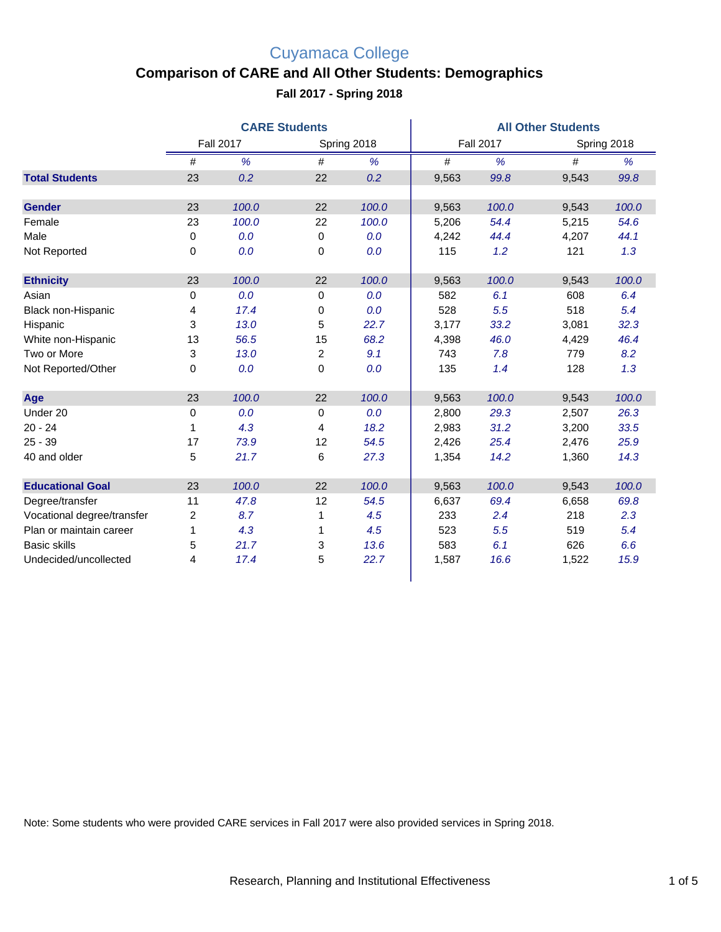## **Comparison of CARE and All Other Students: Demographics**

**Fall 2017 - Spring 2018**

|                            | <b>CARE Students</b> |       |             |       | <b>All Other Students</b> |       |       |             |  |
|----------------------------|----------------------|-------|-------------|-------|---------------------------|-------|-------|-------------|--|
|                            | <b>Fall 2017</b>     |       | Spring 2018 |       | <b>Fall 2017</b>          |       |       | Spring 2018 |  |
|                            | $\#$                 | %     | #           | %     | $\#$                      | %     | #     | %           |  |
| <b>Total Students</b>      | 23                   | 0.2   | 22          | 0.2   | 9,563                     | 99.8  | 9,543 | 99.8        |  |
| <b>Gender</b>              | 23                   | 100.0 | 22          | 100.0 | 9,563                     | 100.0 | 9,543 | 100.0       |  |
| Female                     | 23                   | 100.0 | 22          | 100.0 | 5,206                     | 54.4  | 5,215 | 54.6        |  |
| Male                       | 0                    | 0.0   | 0           | 0.0   | 4,242                     | 44.4  | 4,207 | 44.1        |  |
| Not Reported               | 0                    | 0.0   | 0           | 0.0   | 115                       | 1.2   | 121   | 1.3         |  |
| <b>Ethnicity</b>           | 23                   | 100.0 | 22          | 100.0 | 9,563                     | 100.0 | 9,543 | 100.0       |  |
| Asian                      | 0                    | 0.0   | 0           | 0.0   | 582                       | 6.1   | 608   | 6.4         |  |
| Black non-Hispanic         | 4                    | 17.4  | 0           | 0.0   | 528                       | 5.5   | 518   | 5.4         |  |
| Hispanic                   | 3                    | 13.0  | 5           | 22.7  | 3,177                     | 33.2  | 3,081 | 32.3        |  |
| White non-Hispanic         | 13                   | 56.5  | 15          | 68.2  | 4,398                     | 46.0  | 4,429 | 46.4        |  |
| Two or More                | 3                    | 13.0  | 2           | 9.1   | 743                       | 7.8   | 779   | 8.2         |  |
| Not Reported/Other         | 0                    | 0.0   | 0           | 0.0   | 135                       | 1.4   | 128   | 1.3         |  |
| Age                        | 23                   | 100.0 | 22          | 100.0 | 9,563                     | 100.0 | 9,543 | 100.0       |  |
| Under 20                   | 0                    | 0.0   | 0           | 0.0   | 2,800                     | 29.3  | 2,507 | 26.3        |  |
| $20 - 24$                  | 1                    | 4.3   | 4           | 18.2  | 2,983                     | 31.2  | 3,200 | 33.5        |  |
| $25 - 39$                  | 17                   | 73.9  | 12          | 54.5  | 2,426                     | 25.4  | 2,476 | 25.9        |  |
| 40 and older               | 5                    | 21.7  | 6           | 27.3  | 1,354                     | 14.2  | 1,360 | 14.3        |  |
| <b>Educational Goal</b>    | 23                   | 100.0 | 22          | 100.0 | 9,563                     | 100.0 | 9,543 | 100.0       |  |
| Degree/transfer            | 11                   | 47.8  | 12          | 54.5  | 6,637                     | 69.4  | 6,658 | 69.8        |  |
| Vocational degree/transfer | 2                    | 8.7   | 1           | 4.5   | 233                       | 2.4   | 218   | 2.3         |  |
| Plan or maintain career    | 1                    | 4.3   | 1           | 4.5   | 523                       | 5.5   | 519   | 5.4         |  |
| <b>Basic skills</b>        | 5                    | 21.7  | 3           | 13.6  | 583                       | 6.1   | 626   | 6.6         |  |
| Undecided/uncollected      | 4                    | 17.4  | 5           | 22.7  | 1,587                     | 16.6  | 1,522 | 15.9        |  |

Note: Some students who were provided CARE services in Fall 2017 were also provided services in Spring 2018.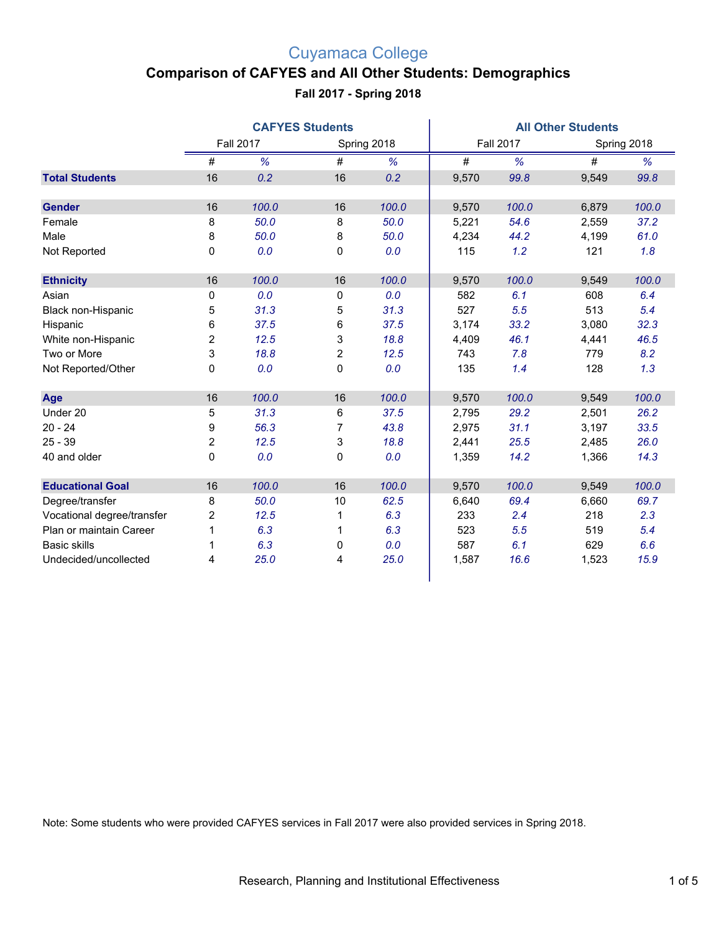### **Comparison of CAFYES and All Other Students: Demographics**

#### **Fall 2017 - Spring 2018**

|                            | <b>CAFYES Students</b> |       |                |       | <b>All Other Students</b> |       |       |             |  |
|----------------------------|------------------------|-------|----------------|-------|---------------------------|-------|-------|-------------|--|
|                            | <b>Fall 2017</b>       |       | Spring 2018    |       | <b>Fall 2017</b>          |       |       | Spring 2018 |  |
|                            | #                      | %     | $\#$           | %     | $\#$                      | %     | $\#$  | %           |  |
| <b>Total Students</b>      | 16                     | 0.2   | 16             | 0.2   | 9,570                     | 99.8  | 9,549 | 99.8        |  |
|                            |                        |       |                |       |                           |       |       |             |  |
| <b>Gender</b>              | 16                     | 100.0 | 16             | 100.0 | 9,570                     | 100.0 | 6,879 | 100.0       |  |
| Female                     | 8                      | 50.0  | 8              | 50.0  | 5,221                     | 54.6  | 2,559 | 37.2        |  |
| Male                       | 8                      | 50.0  | 8              | 50.0  | 4,234                     | 44.2  | 4,199 | 61.0        |  |
| Not Reported               | 0                      | 0.0   | $\mathbf 0$    | 0.0   | 115                       | 1.2   | 121   | 1.8         |  |
|                            |                        |       |                |       |                           |       |       |             |  |
| <b>Ethnicity</b>           | 16                     | 100.0 | 16             | 100.0 | 9,570                     | 100.0 | 9,549 | 100.0       |  |
| Asian                      | 0                      | 0.0   | 0              | 0.0   | 582                       | 6.1   | 608   | 6.4         |  |
| Black non-Hispanic         | 5                      | 31.3  | 5              | 31.3  | 527                       | 5.5   | 513   | 5.4         |  |
| Hispanic                   | 6                      | 37.5  | 6              | 37.5  | 3,174                     | 33.2  | 3,080 | 32.3        |  |
| White non-Hispanic         | $\overline{c}$         | 12.5  | 3              | 18.8  | 4,409                     | 46.1  | 4,441 | 46.5        |  |
| Two or More                | 3                      | 18.8  | $\overline{2}$ | 12.5  | 743                       | 7.8   | 779   | 8.2         |  |
| Not Reported/Other         | 0                      | 0.0   | 0              | 0.0   | 135                       | 1.4   | 128   | 1.3         |  |
|                            |                        |       |                |       |                           |       |       |             |  |
| Age                        | 16                     | 100.0 | 16             | 100.0 | 9,570                     | 100.0 | 9,549 | 100.0       |  |
| Under 20                   | 5                      | 31.3  | 6              | 37.5  | 2,795                     | 29.2  | 2,501 | 26.2        |  |
| $20 - 24$                  | 9                      | 56.3  | $\overline{7}$ | 43.8  | 2,975                     | 31.1  | 3,197 | 33.5        |  |
| $25 - 39$                  | 2                      | 12.5  | 3              | 18.8  | 2,441                     | 25.5  | 2,485 | 26.0        |  |
| 40 and older               | 0                      | 0.0   | $\mathbf 0$    | 0.0   | 1,359                     | 14.2  | 1,366 | 14.3        |  |
|                            |                        |       |                |       |                           |       |       |             |  |
| <b>Educational Goal</b>    | 16                     | 100.0 | 16             | 100.0 | 9,570                     | 100.0 | 9,549 | 100.0       |  |
| Degree/transfer            | 8                      | 50.0  | 10             | 62.5  | 6,640                     | 69.4  | 6,660 | 69.7        |  |
| Vocational degree/transfer | 2                      | 12.5  | 1              | 6.3   | 233                       | 2.4   | 218   | 2.3         |  |
| Plan or maintain Career    | $\mathbf{1}$           | 6.3   | 1              | 6.3   | 523                       | 5.5   | 519   | 5.4         |  |
| <b>Basic skills</b>        | 1                      | 6.3   | 0              | 0.0   | 587                       | 6.1   | 629   | 6.6         |  |
| Undecided/uncollected      | 4                      | 25.0  | 4              | 25.0  | 1,587                     | 16.6  | 1,523 | 15.9        |  |
|                            |                        |       |                |       |                           |       |       |             |  |

Note: Some students who were provided CAFYES services in Fall 2017 were also provided services in Spring 2018.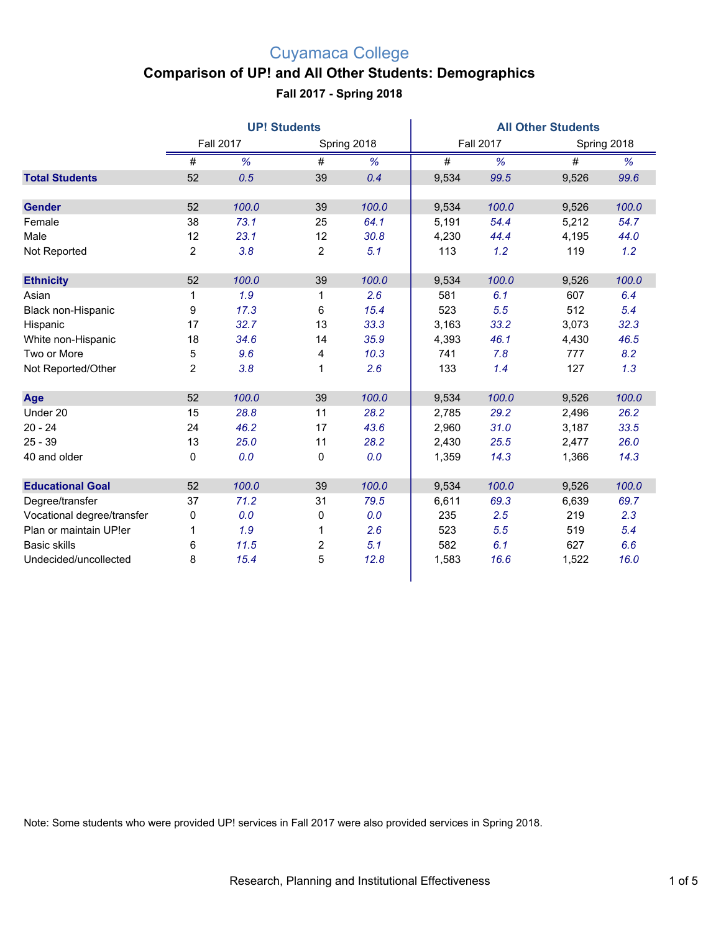### **Comparison of UP! and All Other Students: Demographics**

**Fall 2017 - Spring 2018**

|                            | <b>UP! Students</b> |       |                |       | <b>All Other Students</b> |       |       |             |  |
|----------------------------|---------------------|-------|----------------|-------|---------------------------|-------|-------|-------------|--|
|                            | <b>Fall 2017</b>    |       | Spring 2018    |       | <b>Fall 2017</b>          |       |       | Spring 2018 |  |
|                            | #                   | %     | #              | %     | $\#$                      | %     | #     | %           |  |
| <b>Total Students</b>      | 52                  | 0.5   | 39             | 0.4   | 9,534                     | 99.5  | 9,526 | 99.6        |  |
| <b>Gender</b>              | 52                  | 100.0 | 39             | 100.0 | 9,534                     | 100.0 | 9,526 | 100.0       |  |
| Female                     | 38                  | 73.1  | 25             | 64.1  | 5,191                     | 54.4  | 5,212 | 54.7        |  |
| Male                       | 12                  | 23.1  | 12             | 30.8  | 4,230                     | 44.4  | 4,195 | 44.0        |  |
| Not Reported               | 2                   | 3.8   | $\overline{2}$ | 5.1   | 113                       | 1.2   | 119   | 1.2         |  |
| <b>Ethnicity</b>           | 52                  | 100.0 | 39             | 100.0 | 9,534                     | 100.0 | 9,526 | 100.0       |  |
| Asian                      | 1                   | 1.9   | $\mathbf{1}$   | 2.6   | 581                       | 6.1   | 607   | 6.4         |  |
| Black non-Hispanic         | 9                   | 17.3  | 6              | 15.4  | 523                       | 5.5   | 512   | 5.4         |  |
| Hispanic                   | 17                  | 32.7  | 13             | 33.3  | 3,163                     | 33.2  | 3,073 | 32.3        |  |
| White non-Hispanic         | 18                  | 34.6  | 14             | 35.9  | 4,393                     | 46.1  | 4,430 | 46.5        |  |
| Two or More                | 5                   | 9.6   | 4              | 10.3  | 741                       | 7.8   | 777   | 8.2         |  |
| Not Reported/Other         | $\overline{2}$      | 3.8   | 1              | 2.6   | 133                       | 1.4   | 127   | 1.3         |  |
| Age                        | 52                  | 100.0 | 39             | 100.0 | 9,534                     | 100.0 | 9,526 | 100.0       |  |
| Under 20                   | 15                  | 28.8  | 11             | 28.2  | 2,785                     | 29.2  | 2,496 | 26.2        |  |
| $20 - 24$                  | 24                  | 46.2  | 17             | 43.6  | 2,960                     | 31.0  | 3,187 | 33.5        |  |
| $25 - 39$                  | 13                  | 25.0  | 11             | 28.2  | 2,430                     | 25.5  | 2,477 | 26.0        |  |
| 40 and older               | 0                   | 0.0   | 0              | 0.0   | 1,359                     | 14.3  | 1,366 | 14.3        |  |
| <b>Educational Goal</b>    | 52                  | 100.0 | 39             | 100.0 | 9,534                     | 100.0 | 9,526 | 100.0       |  |
| Degree/transfer            | 37                  | 71.2  | 31             | 79.5  | 6,611                     | 69.3  | 6,639 | 69.7        |  |
| Vocational degree/transfer | 0                   | 0.0   | 0              | 0.0   | 235                       | 2.5   | 219   | 2.3         |  |
| Plan or maintain UP!er     | 1                   | 1.9   | 1              | 2.6   | 523                       | 5.5   | 519   | 5.4         |  |
| <b>Basic skills</b>        | 6                   | 11.5  | $\overline{c}$ | 5.1   | 582                       | 6.1   | 627   | 6.6         |  |
| Undecided/uncollected      | 8                   | 15.4  | 5              | 12.8  | 1,583                     | 16.6  | 1,522 | 16.0        |  |

Note: Some students who were provided UP! services in Fall 2017 were also provided services in Spring 2018.